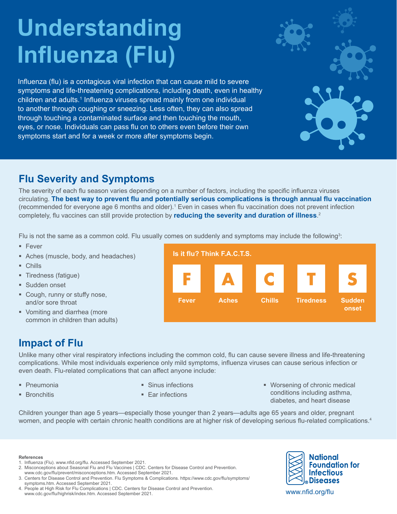# **Understanding Influenza (Flu)**

Influenza (flu) is a contagious viral infection that can cause mild to severe symptoms and life-threatening complications, including death, even in healthy children and adults.<sup>1</sup> Influenza viruses spread mainly from one individual to another through coughing or sneezing. Less often, they can also spread through touching a contaminated surface and then touching the mouth, eyes, or nose. Individuals can pass flu on to others even before their own symptoms start and for a week or more after symptoms begin.

## **Flu Severity and Symptoms**

The severity of each flu season varies depending on a number of factors, including the specific influenza viruses circulating. **The best way to prevent flu and potentially serious complications is through annual flu vaccination** (recommended for everyone age 6 months and older).<sup>1</sup> Even in cases when flu vaccination does not prevent infection completely, flu vaccines can still provide protection by **reducing the severity and duration of illness**. 2

Flu is not the same as a common cold. Flu usually comes on suddenly and symptoms may include the following $^{\rm 3:}$ 

- $Fever$
- Aches (muscle, body, and headaches)
- Chills
- **Tiredness (fatigue)**
- **Sudden onset**
- Cough, runny or stuffy nose, and/or sore throat
- Vomiting and diarrhea (more common in children than adults)

## **Impact of Flu**

Unlike many other viral respiratory infections including the common cold, flu can cause severe illness and life-threatening complications. While most individuals experience only mild symptoms, influenza viruses can cause serious infection or even death. Flu-related complications that can affect anyone include:

- **Pneumonia**
- **Bronchitis**
- **Sinus infections**
- Far infections

 Worsening of chronic medical conditions including asthma, diabetes, and heart disease

Children younger than age 5 years—especially those younger than 2 years—adults age 65 years and older, pregnant women, and people with certain chronic health conditions are at higher risk of developing serious flu-related complications.<sup>4</sup>

#### **References**

- 1. Influenza (Flu). [www.nfid.org/flu.](https://www.nfid.org/infectious-diseases/influenza-flu/) Accessed September 2021.
- 2. Misconceptions about Seasonal Flu and Flu Vaccines | CDC. Centers for Disease Control and Prevention. [www.cdc.gov/flu/prevent/misconceptions.htm](https://www.cdc.gov/flu/prevent/misconceptions.htm). Accessed September 2021.
- 3. Centers for Disease Control and Prevention. Flu Symptoms & Complications. [https://www.cdc.gov/flu/symptoms/](https://www.cdc.gov/flu/symptoms/symptoms.htm) [symptoms.htm](https://www.cdc.gov/flu/symptoms/symptoms.htm). Accessed September 2021.
- 4. People at High Risk for Flu Complications | CDC. Centers for Disease Control and Prevention. [www.cdc.gov/flu/highrisk/index.htm](https://www.cdc.gov/flu/highrisk/index.htm). Accessed September 2021.



www.nfid.org/flu